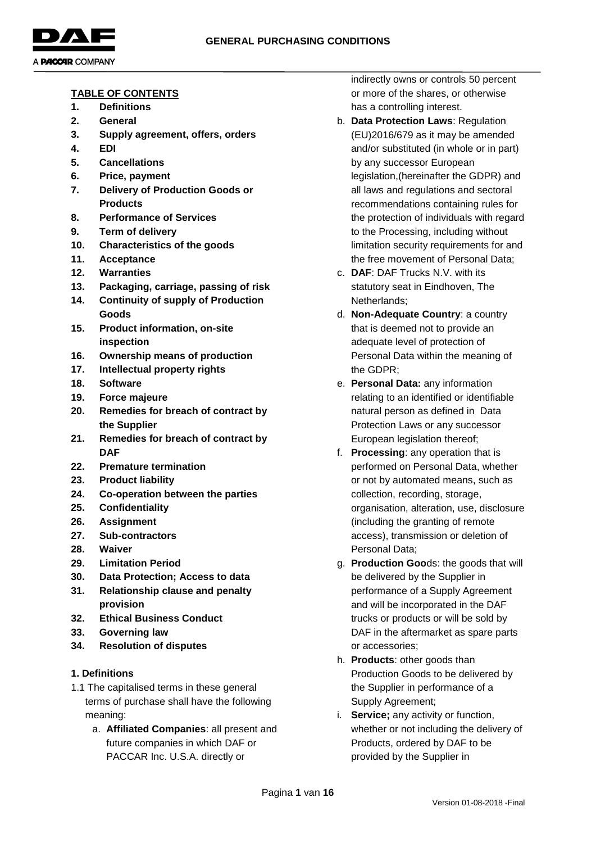

- **TABLE OF CONTENTS 1. Definitions**
- **2. General**
- 
- **3. Supply agreement, offers, orders**
- **4. EDI**
- **5. Cancellations**
- **6. Price, payment**
- **7. Delivery of Production Goods or Products**
- **8. Performance of Services**
- **9. Term of delivery**
- **10. Characteristics of the goods**
- **11. Acceptance**
- **12. Warranties**
- **13. Packaging, carriage, passing of risk**
- **14. Continuity of supply of Production Goods**
- **15. Product information, on-site inspection**
- **16. Ownership means of production**
- **17. Intellectual property rights**
- **18. Software**
- **19. Force majeure**
- **20. Remedies for breach of contract by the Supplier**
- **21. Remedies for breach of contract by DAF**
- **22. Premature termination**
- **23. Product liability**
- **24. Co-operation between the parties**
- **25. Confidentiality**
- **26. Assignment**
- **27. Sub-contractors**
- **28. Waiver**
- **29. Limitation Period**
- **30. Data Protection; Access to data**
- **31. Relationship clause and penalty provision**
- **32. Ethical Business Conduct**
- **33. Governing law**
- **34. Resolution of disputes**

### **1. Definitions**

- 1.1 The capitalised terms in these general terms of purchase shall have the following meaning:
	- a. **Affiliated Companies**: all present and future companies in which DAF or PACCAR Inc. U.S.A. directly or

indirectly owns or controls 50 percent or more of the shares, or otherwise has a controlling interest.

- b. **Data Protection Laws**: Regulation (EU)2016/679 as it may be amended and/or substituted (in whole or in part) by any successor European legislation,(hereinafter the GDPR) and all laws and regulations and sectoral recommendations containing rules for the protection of individuals with regard to the Processing, including without limitation security requirements for and the free movement of Personal Data;
- c. **DAF**: DAF Trucks N.V. with its statutory seat in Eindhoven, The Netherlands;
- d. **Non-Adequate Country**: a country that is deemed not to provide an adequate level of protection of Personal Data within the meaning of the GDPR;
- e. **Personal Data:** any information relating to an identified or identifiable natural person as defined in Data Protection Laws or any successor European legislation thereof;
- f. **Processing**: any operation that is performed on Personal Data, whether or not by automated means, such as collection, recording, storage, organisation, alteration, use, disclosure (including the granting of remote access), transmission or deletion of Personal Data;
- g. **Production Goo**ds: the goods that will be delivered by the Supplier in performance of a Supply Agreement and will be incorporated in the DAF trucks or products or will be sold by DAF in the aftermarket as spare parts or accessories;
- h. **Products**: other goods than Production Goods to be delivered by the Supplier in performance of a Supply Agreement;
- i. **Service;** any activity or function, whether or not including the delivery of Products, ordered by DAF to be provided by the Supplier in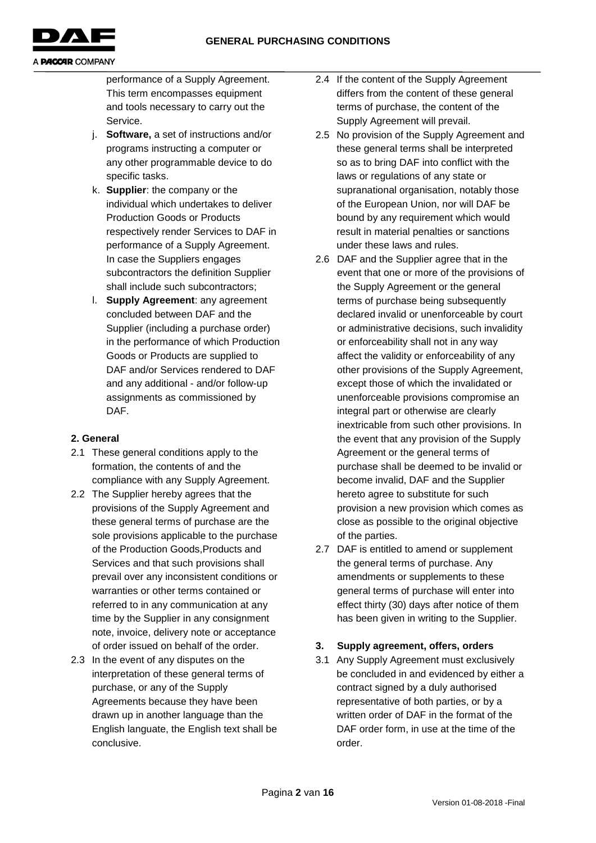

performance of a Supply Agreement. This term encompasses equipment and tools necessary to carry out the Service.

- j. **Software,** a set of instructions and/or programs instructing a computer or any other programmable device to do specific tasks.
- k. **Supplier**: the company or the individual which undertakes to deliver Production Goods or Products respectively render Services to DAF in performance of a Supply Agreement. In case the Suppliers engages subcontractors the definition Supplier shall include such subcontractors;
- l. **Supply Agreement**: any agreement concluded between DAF and the Supplier (including a purchase order) in the performance of which Production Goods or Products are supplied to DAF and/or Services rendered to DAF and any additional - and/or follow-up assignments as commissioned by DAF.

# **2. General**

- 2.1 These general conditions apply to the formation, the contents of and the compliance with any Supply Agreement.
- 2.2 The Supplier hereby agrees that the provisions of the Supply Agreement and these general terms of purchase are the sole provisions applicable to the purchase of the Production Goods,Products and Services and that such provisions shall prevail over any inconsistent conditions or warranties or other terms contained or referred to in any communication at any time by the Supplier in any consignment note, invoice, delivery note or acceptance of order issued on behalf of the order.
- 2.3 In the event of any disputes on the interpretation of these general terms of purchase, or any of the Supply Agreements because they have been drawn up in another language than the English languate, the English text shall be conclusive.
- 2.4 If the content of the Supply Agreement differs from the content of these general terms of purchase, the content of the Supply Agreement will prevail.
- 2.5 No provision of the Supply Agreement and these general terms shall be interpreted so as to bring DAF into conflict with the laws or regulations of any state or supranational organisation, notably those of the European Union, nor will DAF be bound by any requirement which would result in material penalties or sanctions under these laws and rules.
- 2.6 DAF and the Supplier agree that in the event that one or more of the provisions of the Supply Agreement or the general terms of purchase being subsequently declared invalid or unenforceable by court or administrative decisions, such invalidity or enforceability shall not in any way affect the validity or enforceability of any other provisions of the Supply Agreement, except those of which the invalidated or unenforceable provisions compromise an integral part or otherwise are clearly inextricable from such other provisions. In the event that any provision of the Supply Agreement or the general terms of purchase shall be deemed to be invalid or become invalid, DAF and the Supplier hereto agree to substitute for such provision a new provision which comes as close as possible to the original objective of the parties.
- 2.7 DAF is entitled to amend or supplement the general terms of purchase. Any amendments or supplements to these general terms of purchase will enter into effect thirty (30) days after notice of them has been given in writing to the Supplier.

# **3. Supply agreement, offers, orders**

3.1 Any Supply Agreement must exclusively be concluded in and evidenced by either a contract signed by a duly authorised representative of both parties, or by a written order of DAF in the format of the DAF order form, in use at the time of the order.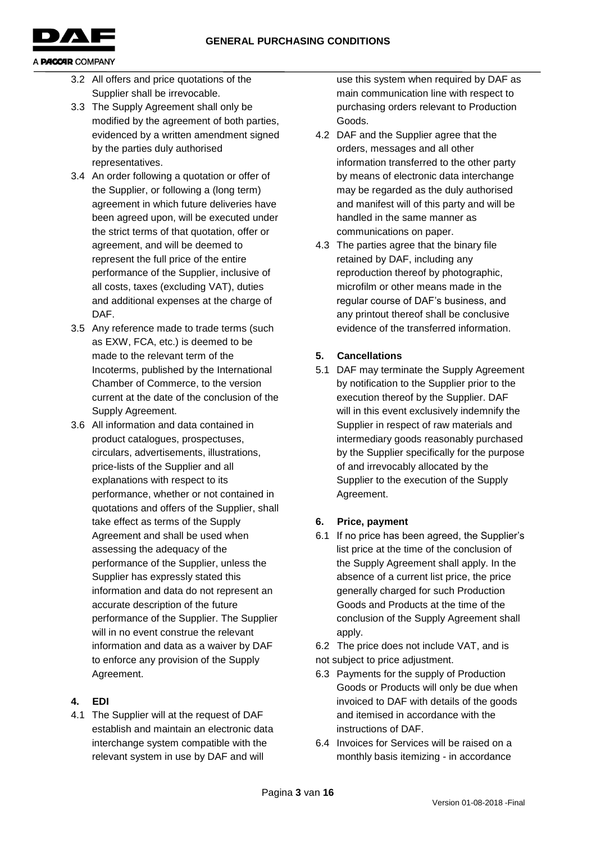

- 3.2 All offers and price quotations of the Supplier shall be irrevocable.
- 3.3 The Supply Agreement shall only be modified by the agreement of both parties, evidenced by a written amendment signed by the parties duly authorised representatives.
- 3.4 An order following a quotation or offer of the Supplier, or following a (long term) agreement in which future deliveries have been agreed upon, will be executed under the strict terms of that quotation, offer or agreement, and will be deemed to represent the full price of the entire performance of the Supplier, inclusive of all costs, taxes (excluding VAT), duties and additional expenses at the charge of DAF.
- 3.5 Any reference made to trade terms (such as EXW, FCA, etc.) is deemed to be made to the relevant term of the Incoterms, published by the International Chamber of Commerce, to the version current at the date of the conclusion of the Supply Agreement.
- 3.6 All information and data contained in product catalogues, prospectuses, circulars, advertisements, illustrations, price-lists of the Supplier and all explanations with respect to its performance, whether or not contained in quotations and offers of the Supplier, shall take effect as terms of the Supply Agreement and shall be used when assessing the adequacy of the performance of the Supplier, unless the Supplier has expressly stated this information and data do not represent an accurate description of the future performance of the Supplier. The Supplier will in no event construe the relevant information and data as a waiver by DAF to enforce any provision of the Supply Agreement.

### **4. EDI**

4.1 The Supplier will at the request of DAF establish and maintain an electronic data interchange system compatible with the relevant system in use by DAF and will

use this system when required by DAF as main communication line with respect to purchasing orders relevant to Production Goods.

- 4.2 DAF and the Supplier agree that the orders, messages and all other information transferred to the other party by means of electronic data interchange may be regarded as the duly authorised and manifest will of this party and will be handled in the same manner as communications on paper.
- 4.3 The parties agree that the binary file retained by DAF, including any reproduction thereof by photographic, microfilm or other means made in the regular course of DAF's business, and any printout thereof shall be conclusive evidence of the transferred information.

# **5. Cancellations**

5.1 DAF may terminate the Supply Agreement by notification to the Supplier prior to the execution thereof by the Supplier. DAF will in this event exclusively indemnify the Supplier in respect of raw materials and intermediary goods reasonably purchased by the Supplier specifically for the purpose of and irrevocably allocated by the Supplier to the execution of the Supply Agreement.

# **6. Price, payment**

6.1 If no price has been agreed, the Supplier's list price at the time of the conclusion of the Supply Agreement shall apply. In the absence of a current list price, the price generally charged for such Production Goods and Products at the time of the conclusion of the Supply Agreement shall apply.

6.2 The price does not include VAT, and is not subject to price adjustment.

- 6.3 Payments for the supply of Production Goods or Products will only be due when invoiced to DAF with details of the goods and itemised in accordance with the instructions of DAF.
- 6.4 Invoices for Services will be raised on a monthly basis itemizing - in accordance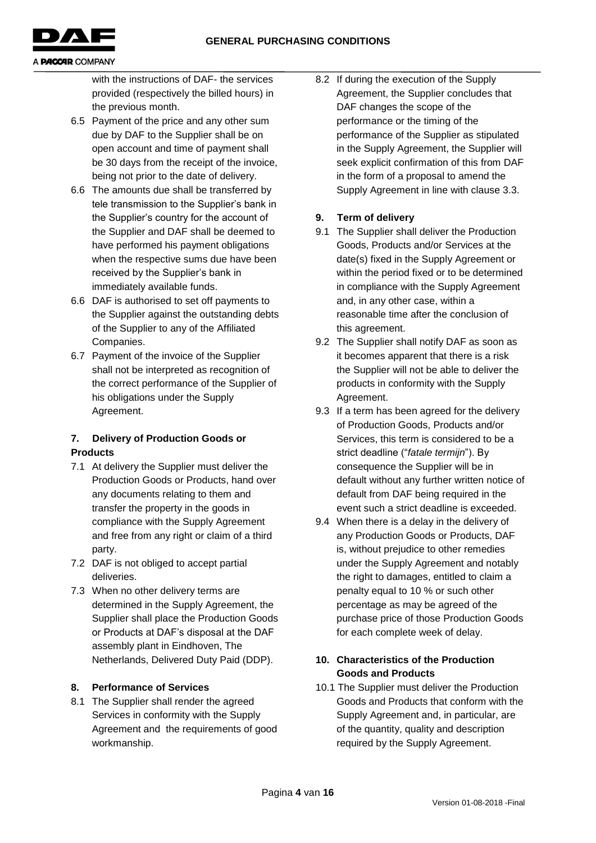

with the instructions of DAF- the services provided (respectively the billed hours) in the previous month.

- 6.5 Payment of the price and any other sum due by DAF to the Supplier shall be on open account and time of payment shall be 30 days from the receipt of the invoice, being not prior to the date of delivery.
- 6.6 The amounts due shall be transferred by tele transmission to the Supplier's bank in the Supplier's country for the account of the Supplier and DAF shall be deemed to have performed his payment obligations when the respective sums due have been received by the Supplier's bank in immediately available funds.
- 6.6 DAF is authorised to set off payments to the Supplier against the outstanding debts of the Supplier to any of the Affiliated Companies.
- 6.7 Payment of the invoice of the Supplier shall not be interpreted as recognition of the correct performance of the Supplier of his obligations under the Supply Agreement.

### **7. Delivery of Production Goods or Products**

- 7.1 At delivery the Supplier must deliver the Production Goods or Products, hand over any documents relating to them and transfer the property in the goods in compliance with the Supply Agreement and free from any right or claim of a third party.
- 7.2 DAF is not obliged to accept partial deliveries.
- 7.3 When no other delivery terms are determined in the Supply Agreement, the Supplier shall place the Production Goods or Products at DAF's disposal at the DAF assembly plant in Eindhoven, The Netherlands, Delivered Duty Paid (DDP).

### **8. Performance of Services**

8.1 The Supplier shall render the agreed Services in conformity with the Supply Agreement and the requirements of good workmanship.

8.2 If during the execution of the Supply Agreement, the Supplier concludes that DAF changes the scope of the performance or the timing of the performance of the Supplier as stipulated in the Supply Agreement, the Supplier will seek explicit confirmation of this from DAF in the form of a proposal to amend the Supply Agreement in line with clause 3.3.

### **9. Term of delivery**

- 9.1 The Supplier shall deliver the Production Goods, Products and/or Services at the date(s) fixed in the Supply Agreement or within the period fixed or to be determined in compliance with the Supply Agreement and, in any other case, within a reasonable time after the conclusion of this agreement.
- 9.2 The Supplier shall notify DAF as soon as it becomes apparent that there is a risk the Supplier will not be able to deliver the products in conformity with the Supply Agreement.
- 9.3 If a term has been agreed for the delivery of Production Goods, Products and/or Services, this term is considered to be a strict deadline ("*fatale termijn*"). By consequence the Supplier will be in default without any further written notice of default from DAF being required in the event such a strict deadline is exceeded.
- 9.4 When there is a delay in the delivery of any Production Goods or Products, DAF is, without prejudice to other remedies under the Supply Agreement and notably the right to damages, entitled to claim a penalty equal to 10 % or such other percentage as may be agreed of the purchase price of those Production Goods for each complete week of delay.

### **10. Characteristics of the Production Goods and Products**

10.1 The Supplier must deliver the Production Goods and Products that conform with the Supply Agreement and, in particular, are of the quantity, quality and description required by the Supply Agreement.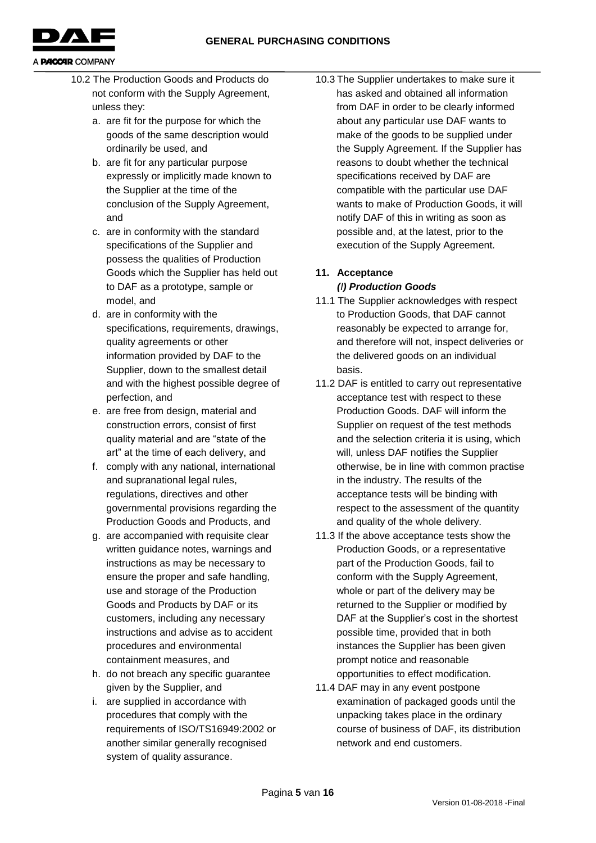**GENERAL PURCHASING CONDITIONS**



- 10.2 The Production Goods and Products do not conform with the Supply Agreement, unless they:
	- a. are fit for the purpose for which the goods of the same description would ordinarily be used, and
	- b. are fit for any particular purpose expressly or implicitly made known to the Supplier at the time of the conclusion of the Supply Agreement, and
	- c. are in conformity with the standard specifications of the Supplier and possess the qualities of Production Goods which the Supplier has held out to DAF as a prototype, sample or model, and
	- d. are in conformity with the specifications, requirements, drawings, quality agreements or other information provided by DAF to the Supplier, down to the smallest detail and with the highest possible degree of perfection, and
	- e. are free from design, material and construction errors, consist of first quality material and are "state of the art" at the time of each delivery, and
	- f. comply with any national, international and supranational legal rules, regulations, directives and other governmental provisions regarding the Production Goods and Products, and
	- g. are accompanied with requisite clear written guidance notes, warnings and instructions as may be necessary to ensure the proper and safe handling, use and storage of the Production Goods and Products by DAF or its customers, including any necessary instructions and advise as to accident procedures and environmental containment measures, and
	- h. do not breach any specific guarantee given by the Supplier, and
	- i. are supplied in accordance with procedures that comply with the requirements of ISO/TS16949:2002 or another similar generally recognised system of quality assurance.

10.3 The Supplier undertakes to make sure it has asked and obtained all information from DAF in order to be clearly informed about any particular use DAF wants to make of the goods to be supplied under the Supply Agreement. If the Supplier has reasons to doubt whether the technical specifications received by DAF are compatible with the particular use DAF wants to make of Production Goods, it will notify DAF of this in writing as soon as possible and, at the latest, prior to the execution of the Supply Agreement.

### **11. Acceptance**  *(I) Production Goods*

- 11.1 The Supplier acknowledges with respect to Production Goods, that DAF cannot reasonably be expected to arrange for, and therefore will not, inspect deliveries or the delivered goods on an individual basis.
- 11.2 DAF is entitled to carry out representative acceptance test with respect to these Production Goods. DAF will inform the Supplier on request of the test methods and the selection criteria it is using, which will, unless DAF notifies the Supplier otherwise, be in line with common practise in the industry. The results of the acceptance tests will be binding with respect to the assessment of the quantity and quality of the whole delivery.
- 11.3 If the above acceptance tests show the Production Goods, or a representative part of the Production Goods, fail to conform with the Supply Agreement, whole or part of the delivery may be returned to the Supplier or modified by DAF at the Supplier's cost in the shortest possible time, provided that in both instances the Supplier has been given prompt notice and reasonable opportunities to effect modification.
- 11.4 DAF may in any event postpone examination of packaged goods until the unpacking takes place in the ordinary course of business of DAF, its distribution network and end customers.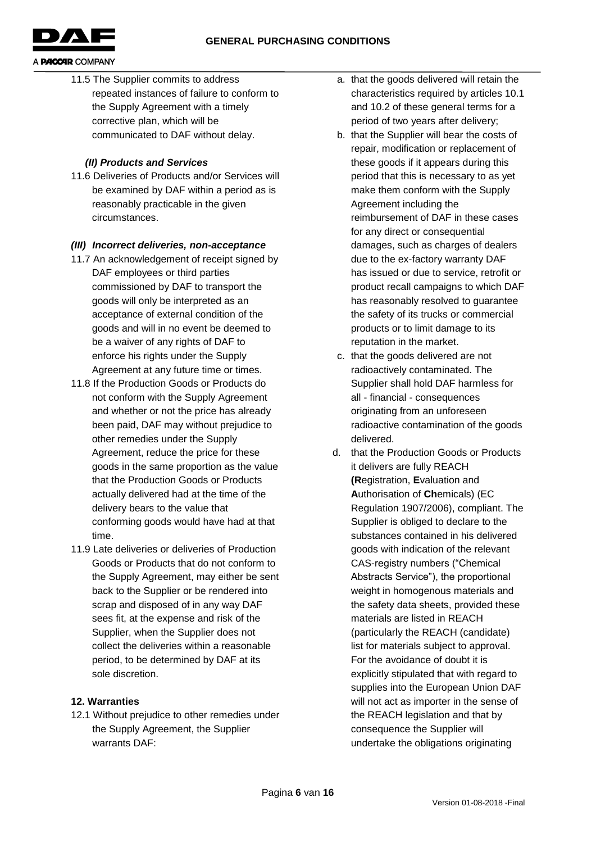

11.5 The Supplier commits to address repeated instances of failure to conform to the Supply Agreement with a timely corrective plan, which will be communicated to DAF without delay.

#### *(II) Products and Services*

11.6 Deliveries of Products and/or Services will be examined by DAF within a period as is reasonably practicable in the given circumstances.

#### *(III) Incorrect deliveries, non-acceptance*

- 11.7 An acknowledgement of receipt signed by DAF employees or third parties commissioned by DAF to transport the goods will only be interpreted as an acceptance of external condition of the goods and will in no event be deemed to be a waiver of any rights of DAF to enforce his rights under the Supply Agreement at any future time or times.
- 11.8 If the Production Goods or Products do not conform with the Supply Agreement and whether or not the price has already been paid, DAF may without prejudice to other remedies under the Supply Agreement, reduce the price for these goods in the same proportion as the value that the Production Goods or Products actually delivered had at the time of the delivery bears to the value that conforming goods would have had at that time.
- 11.9 Late deliveries or deliveries of Production Goods or Products that do not conform to the Supply Agreement, may either be sent back to the Supplier or be rendered into scrap and disposed of in any way DAF sees fit, at the expense and risk of the Supplier, when the Supplier does not collect the deliveries within a reasonable period, to be determined by DAF at its sole discretion.

### **12. Warranties**

12.1 Without prejudice to other remedies under the Supply Agreement, the Supplier warrants DAF:

- a. that the goods delivered will retain the characteristics required by articles 10.1 and 10.2 of these general terms for a period of two years after delivery;
- b. that the Supplier will bear the costs of repair, modification or replacement of these goods if it appears during this period that this is necessary to as yet make them conform with the Supply Agreement including the reimbursement of DAF in these cases for any direct or consequential damages, such as charges of dealers due to the ex-factory warranty DAF has issued or due to service, retrofit or product recall campaigns to which DAF has reasonably resolved to guarantee the safety of its trucks or commercial products or to limit damage to its reputation in the market.
- c. that the goods delivered are not radioactively contaminated. The Supplier shall hold DAF harmless for all - financial - consequences originating from an unforeseen radioactive contamination of the goods delivered.
- d. that the Production Goods or Products it delivers are fully REACH **(R**egistration, **E**valuation and **A**uthorisation of **Ch**emicals) (EC Regulation 1907/2006), compliant. The Supplier is obliged to declare to the substances contained in his delivered goods with indication of the relevant CAS-registry numbers ("Chemical Abstracts Service"), the proportional weight in homogenous materials and the safety data sheets, provided these materials are listed in REACH (particularly the REACH (candidate) list for materials subject to approval. For the avoidance of doubt it is explicitly stipulated that with regard to supplies into the European Union DAF will not act as importer in the sense of the REACH legislation and that by consequence the Supplier will undertake the obligations originating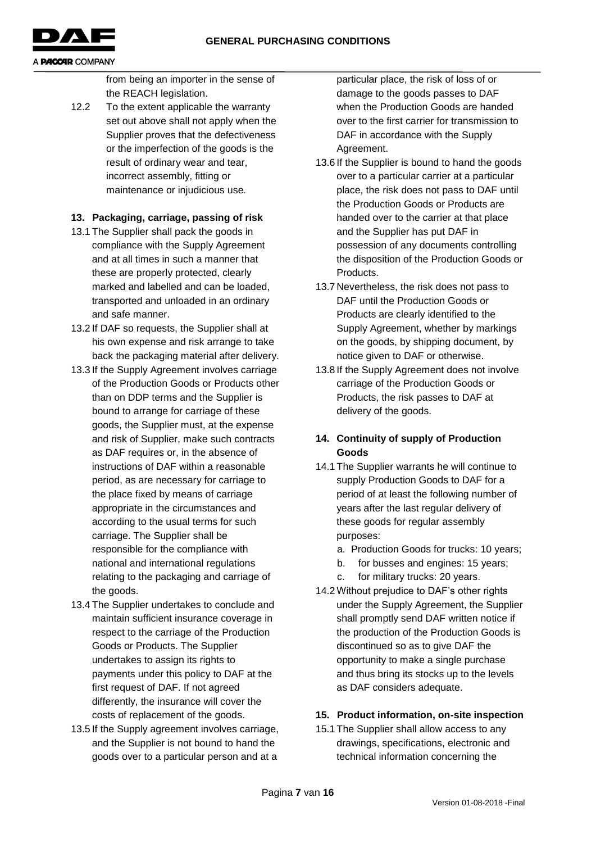**GENERAL PURCHASING CONDITIONS**



#### A **PACCAR** COMPANY

from being an importer in the sense of the REACH legislation.

12.2 To the extent applicable the warranty set out above shall not apply when the Supplier proves that the defectiveness or the imperfection of the goods is the result of ordinary wear and tear, incorrect assembly, fitting or maintenance or injudicious use*.*

### **13. Packaging, carriage, passing of risk**

- 13.1 The Supplier shall pack the goods in compliance with the Supply Agreement and at all times in such a manner that these are properly protected, clearly marked and labelled and can be loaded, transported and unloaded in an ordinary and safe manner.
- 13.2 If DAF so requests, the Supplier shall at his own expense and risk arrange to take back the packaging material after delivery.
- 13.3 If the Supply Agreement involves carriage of the Production Goods or Products other than on DDP terms and the Supplier is bound to arrange for carriage of these goods, the Supplier must, at the expense and risk of Supplier, make such contracts as DAF requires or, in the absence of instructions of DAF within a reasonable period, as are necessary for carriage to the place fixed by means of carriage appropriate in the circumstances and according to the usual terms for such carriage. The Supplier shall be responsible for the compliance with national and international regulations relating to the packaging and carriage of the goods.
- 13.4 The Supplier undertakes to conclude and maintain sufficient insurance coverage in respect to the carriage of the Production Goods or Products. The Supplier undertakes to assign its rights to payments under this policy to DAF at the first request of DAF. If not agreed differently, the insurance will cover the costs of replacement of the goods.
- 13.5 If the Supply agreement involves carriage, and the Supplier is not bound to hand the goods over to a particular person and at a

particular place, the risk of loss of or damage to the goods passes to DAF when the Production Goods are handed over to the first carrier for transmission to DAF in accordance with the Supply Agreement.

- 13.6 If the Supplier is bound to hand the goods over to a particular carrier at a particular place, the risk does not pass to DAF until the Production Goods or Products are handed over to the carrier at that place and the Supplier has put DAF in possession of any documents controlling the disposition of the Production Goods or **Products**
- 13.7 Nevertheless, the risk does not pass to DAF until the Production Goods or Products are clearly identified to the Supply Agreement, whether by markings on the goods, by shipping document, by notice given to DAF or otherwise.
- 13.8 If the Supply Agreement does not involve carriage of the Production Goods or Products, the risk passes to DAF at delivery of the goods.

### **14. Continuity of supply of Production Goods**

- 14.1 The Supplier warrants he will continue to supply Production Goods to DAF for a period of at least the following number of years after the last regular delivery of these goods for regular assembly purposes:
	- a. Production Goods for trucks: 10 years;
	- b. for busses and engines: 15 years;
	- c. for military trucks: 20 years.
- 14.2 Without prejudice to DAF's other rights under the Supply Agreement, the Supplier shall promptly send DAF written notice if the production of the Production Goods is discontinued so as to give DAF the opportunity to make a single purchase and thus bring its stocks up to the levels as DAF considers adequate.

### **15. Product information, on-site inspection**

15.1 The Supplier shall allow access to any drawings, specifications, electronic and technical information concerning the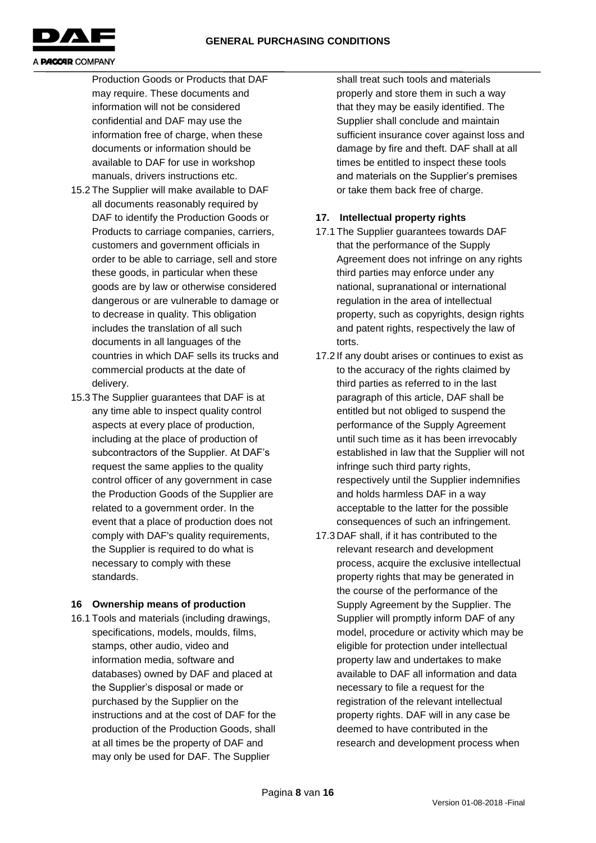

Production Goods or Products that DAF may require. These documents and information will not be considered confidential and DAF may use the information free of charge, when these documents or information should be available to DAF for use in workshop manuals, drivers instructions etc.

- 15.2 The Supplier will make available to DAF all documents reasonably required by DAF to identify the Production Goods or Products to carriage companies, carriers, customers and government officials in order to be able to carriage, sell and store these goods, in particular when these goods are by law or otherwise considered dangerous or are vulnerable to damage or to decrease in quality. This obligation includes the translation of all such documents in all languages of the countries in which DAF sells its trucks and commercial products at the date of delivery.
- 15.3 The Supplier guarantees that DAF is at any time able to inspect quality control aspects at every place of production, including at the place of production of subcontractors of the Supplier. At DAF's request the same applies to the quality control officer of any government in case the Production Goods of the Supplier are related to a government order. In the event that a place of production does not comply with DAF's quality requirements, the Supplier is required to do what is necessary to comply with these standards.

### **16 Ownership means of production**

16.1 Tools and materials (including drawings, specifications, models, moulds, films, stamps, other audio, video and information media, software and databases) owned by DAF and placed at the Supplier's disposal or made or purchased by the Supplier on the instructions and at the cost of DAF for the production of the Production Goods, shall at all times be the property of DAF and may only be used for DAF. The Supplier

shall treat such tools and materials properly and store them in such a way that they may be easily identified. The Supplier shall conclude and maintain sufficient insurance cover against loss and damage by fire and theft. DAF shall at all times be entitled to inspect these tools and materials on the Supplier's premises or take them back free of charge.

### **17. Intellectual property rights**

- 17.1 The Supplier guarantees towards DAF that the performance of the Supply Agreement does not infringe on any rights third parties may enforce under any national, supranational or international regulation in the area of intellectual property, such as copyrights, design rights and patent rights, respectively the law of torts.
- 17.2 If any doubt arises or continues to exist as to the accuracy of the rights claimed by third parties as referred to in the last paragraph of this article, DAF shall be entitled but not obliged to suspend the performance of the Supply Agreement until such time as it has been irrevocably established in law that the Supplier will not infringe such third party rights, respectively until the Supplier indemnifies and holds harmless DAF in a way acceptable to the latter for the possible consequences of such an infringement.
- 17.3 DAF shall, if it has contributed to the relevant research and development process, acquire the exclusive intellectual property rights that may be generated in the course of the performance of the Supply Agreement by the Supplier. The Supplier will promptly inform DAF of any model, procedure or activity which may be eligible for protection under intellectual property law and undertakes to make available to DAF all information and data necessary to file a request for the registration of the relevant intellectual property rights. DAF will in any case be deemed to have contributed in the research and development process when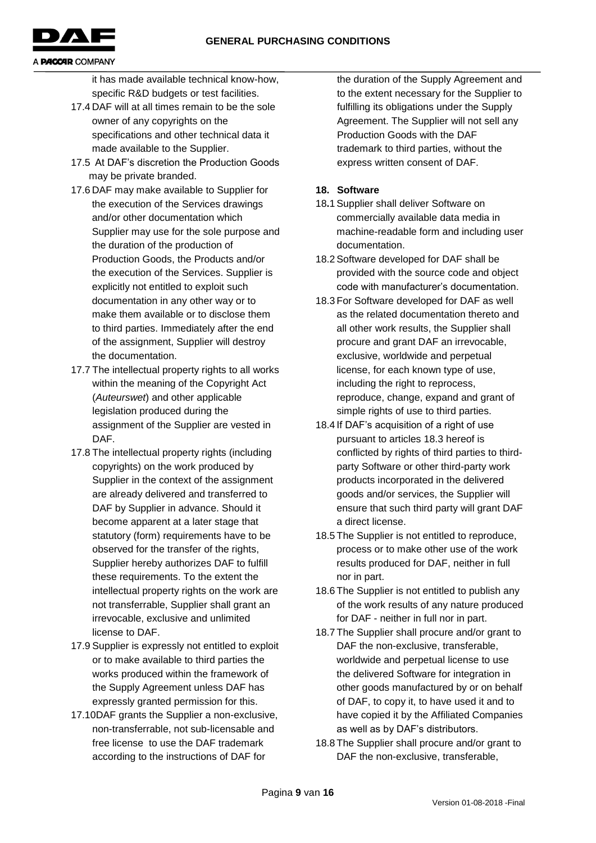

it has made available technical know-how, specific R&D budgets or test facilities.

- 17.4 DAF will at all times remain to be the sole owner of any copyrights on the specifications and other technical data it made available to the Supplier.
- 17.5 At DAF's discretion the Production Goods may be private branded.
- 17.6 DAF may make available to Supplier for the execution of the Services drawings and/or other documentation which Supplier may use for the sole purpose and the duration of the production of Production Goods, the Products and/or the execution of the Services. Supplier is explicitly not entitled to exploit such documentation in any other way or to make them available or to disclose them to third parties. Immediately after the end of the assignment, Supplier will destroy the documentation.
- 17.7 The intellectual property rights to all works within the meaning of the Copyright Act (*Auteurswet*) and other applicable legislation produced during the assignment of the Supplier are vested in DAF.
- 17.8 The intellectual property rights (including copyrights) on the work produced by Supplier in the context of the assignment are already delivered and transferred to DAF by Supplier in advance. Should it become apparent at a later stage that statutory (form) requirements have to be observed for the transfer of the rights, Supplier hereby authorizes DAF to fulfill these requirements. To the extent the intellectual property rights on the work are not transferrable, Supplier shall grant an irrevocable, exclusive and unlimited license to DAF.
- 17.9 Supplier is expressly not entitled to exploit or to make available to third parties the works produced within the framework of the Supply Agreement unless DAF has expressly granted permission for this.
- 17.10DAF grants the Supplier a non-exclusive, non-transferrable, not sub-licensable and free license to use the DAF trademark according to the instructions of DAF for

the duration of the Supply Agreement and to the extent necessary for the Supplier to fulfilling its obligations under the Supply Agreement. The Supplier will not sell any Production Goods with the DAF trademark to third parties, without the express written consent of DAF.

### **18. Software**

- 18**.**1 Supplier shall deliver Software on commercially available data media in machine-readable form and including user documentation.
- 18.2 Software developed for DAF shall be provided with the source code and object code with manufacturer's documentation.
- 18.3 For Software developed for DAF as well as the related documentation thereto and all other work results, the Supplier shall procure and grant DAF an irrevocable, exclusive, worldwide and perpetual license, for each known type of use, including the right to reprocess, reproduce, change, expand and grant of simple rights of use to third parties.
- 18.4 If DAF's acquisition of a right of use pursuant to articles 18.3 hereof is conflicted by rights of third parties to thirdparty Software or other third-party work products incorporated in the delivered goods and/or services, the Supplier will ensure that such third party will grant DAF a direct license.
- 18.5 The Supplier is not entitled to reproduce, process or to make other use of the work results produced for DAF, neither in full nor in part.
- 18.6 The Supplier is not entitled to publish any of the work results of any nature produced for DAF - neither in full nor in part.
- 18.7 The Supplier shall procure and/or grant to DAF the non-exclusive, transferable, worldwide and perpetual license to use the delivered Software for integration in other goods manufactured by or on behalf of DAF, to copy it, to have used it and to have copied it by the Affiliated Companies as well as by DAF's distributors.
- 18.8 The Supplier shall procure and/or grant to DAF the non-exclusive, transferable,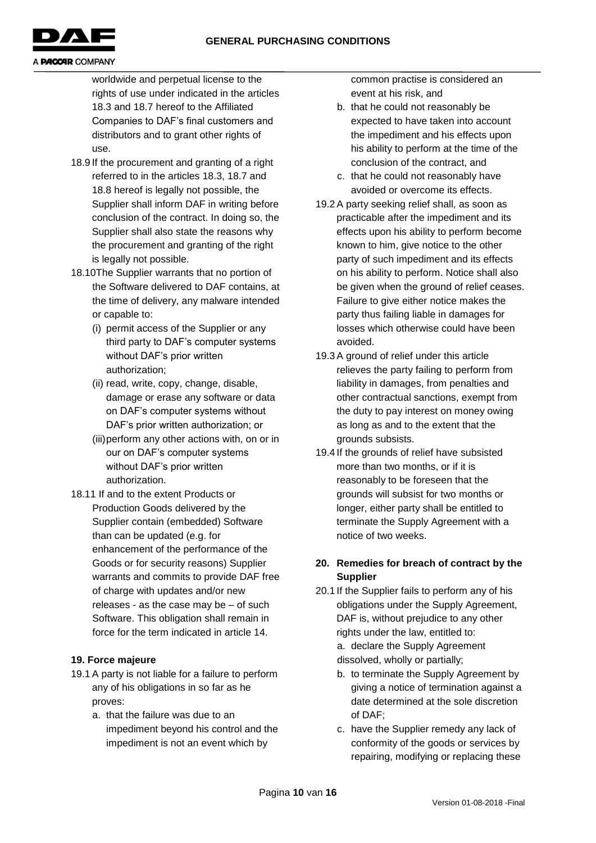

worldwide and perpetual license to the rights of use under indicated in the articles 18.3 and 18.7 hereof to the Affiliated Companies to DAF's final customers and distributors and to grant other rights of use.

- 18.9 If the procurement and granting of a right referred to in the articles 18.3, 18.7 and 18.8 hereof is legally not possible, the Supplier shall inform DAF in writing before conclusion of the contract. In doing so, the Supplier shall also state the reasons why the procurement and granting of the right is legally not possible.
- 18.10The Supplier warrants that no portion of the Software delivered to DAF contains, at the time of delivery, any malware intended or capable to:
	- (i) permit access of the Supplier or any third party to DAF's computer systems without DAF's prior written authorization;
	- (ii) read, write, copy, change, disable, damage or erase any software or data on DAF's computer systems without DAF's prior written authorization; or
	- (iii)perform any other actions with, on or in our on DAF's computer systems without DAF's prior written authorization.
- 18.11 If and to the extent Products or Production Goods delivered by the Supplier contain (embedded) Software than can be updated (e.g. for enhancement of the performance of the Goods or for security reasons) Supplier warrants and commits to provide DAF free of charge with updates and/or new releases - as the case may be – of such Software. This obligation shall remain in force for the term indicated in article 14.

# **19. Force majeure**

- 19.1 A party is not liable for a failure to perform any of his obligations in so far as he proves:
	- a. that the failure was due to an impediment beyond his control and the impediment is not an event which by

common practise is considered an event at his risk, and

- b. that he could not reasonably be expected to have taken into account the impediment and his effects upon his ability to perform at the time of the conclusion of the contract, and
- c. that he could not reasonably have avoided or overcome its effects.
- 19.2 A party seeking relief shall, as soon as practicable after the impediment and its effects upon his ability to perform become known to him, give notice to the other party of such impediment and its effects on his ability to perform. Notice shall also be given when the ground of relief ceases. Failure to give either notice makes the party thus failing liable in damages for losses which otherwise could have been avoided.
- 19.3 A ground of relief under this article relieves the party failing to perform from liability in damages, from penalties and other contractual sanctions, exempt from the duty to pay interest on money owing as long as and to the extent that the grounds subsists.
- 19.4 If the grounds of relief have subsisted more than two months, or if it is reasonably to be foreseen that the grounds will subsist for two months or longer, either party shall be entitled to terminate the Supply Agreement with a notice of two weeks.

# **20. Remedies for breach of contract by the Supplier**

- 20.1 If the Supplier fails to perform any of his obligations under the Supply Agreement, DAF is, without prejudice to any other rights under the law, entitled to: a. declare the Supply Agreement dissolved, wholly or partially;
	- b. to terminate the Supply Agreement by giving a notice of termination against a date determined at the sole discretion of DAF;
	- c. have the Supplier remedy any lack of conformity of the goods or services by repairing, modifying or replacing these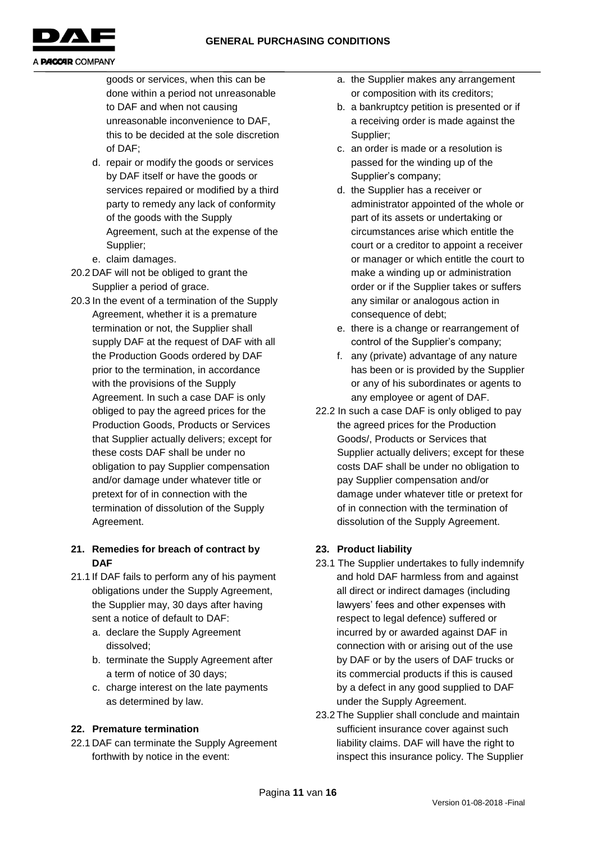

goods or services, when this can be done within a period not unreasonable to DAF and when not causing unreasonable inconvenience to DAF, this to be decided at the sole discretion of DAF;

- d. repair or modify the goods or services by DAF itself or have the goods or services repaired or modified by a third party to remedy any lack of conformity of the goods with the Supply Agreement, such at the expense of the Supplier;
- e. claim damages.
- 20.2 DAF will not be obliged to grant the Supplier a period of grace.
- 20.3 In the event of a termination of the Supply Agreement, whether it is a premature termination or not, the Supplier shall supply DAF at the request of DAF with all the Production Goods ordered by DAF prior to the termination, in accordance with the provisions of the Supply Agreement. In such a case DAF is only obliged to pay the agreed prices for the Production Goods, Products or Services that Supplier actually delivers; except for these costs DAF shall be under no obligation to pay Supplier compensation and/or damage under whatever title or pretext for of in connection with the termination of dissolution of the Supply Agreement.

# **21. Remedies for breach of contract by DAF**

- 21.1 If DAF fails to perform any of his payment obligations under the Supply Agreement, the Supplier may, 30 days after having sent a notice of default to DAF:
	- a. declare the Supply Agreement dissolved;
	- b. terminate the Supply Agreement after a term of notice of 30 days;
	- c. charge interest on the late payments as determined by law.

# **22. Premature termination**

22.1 DAF can terminate the Supply Agreement forthwith by notice in the event:

- a. the Supplier makes any arrangement or composition with its creditors;
- b. a bankruptcy petition is presented or if a receiving order is made against the Supplier;
- c. an order is made or a resolution is passed for the winding up of the Supplier's company;
- d. the Supplier has a receiver or administrator appointed of the whole or part of its assets or undertaking or circumstances arise which entitle the court or a creditor to appoint a receiver or manager or which entitle the court to make a winding up or administration order or if the Supplier takes or suffers any similar or analogous action in consequence of debt;
- e. there is a change or rearrangement of control of the Supplier's company;
- f. any (private) advantage of any nature has been or is provided by the Supplier or any of his subordinates or agents to any employee or agent of DAF.
- 22.2 In such a case DAF is only obliged to pay the agreed prices for the Production Goods/, Products or Services that Supplier actually delivers; except for these costs DAF shall be under no obligation to pay Supplier compensation and/or damage under whatever title or pretext for of in connection with the termination of dissolution of the Supply Agreement.

# **23. Product liability**

- 23.1 The Supplier undertakes to fully indemnify and hold DAF harmless from and against all direct or indirect damages (including lawyers' fees and other expenses with respect to legal defence) suffered or incurred by or awarded against DAF in connection with or arising out of the use by DAF or by the users of DAF trucks or its commercial products if this is caused by a defect in any good supplied to DAF under the Supply Agreement.
- 23.2 The Supplier shall conclude and maintain sufficient insurance cover against such liability claims. DAF will have the right to inspect this insurance policy. The Supplier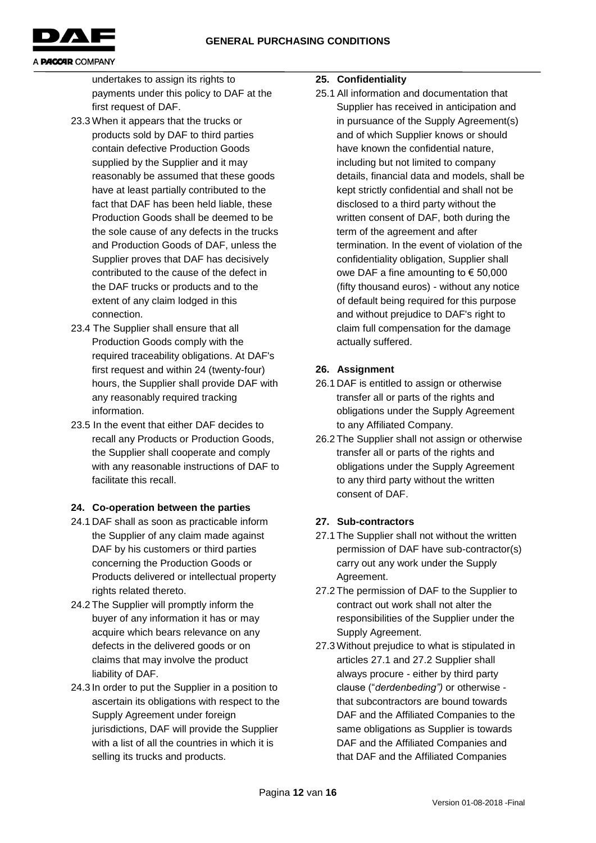

undertakes to assign its rights to payments under this policy to DAF at the first request of DAF.

- 23.3 When it appears that the trucks or products sold by DAF to third parties contain defective Production Goods supplied by the Supplier and it may reasonably be assumed that these goods have at least partially contributed to the fact that DAF has been held liable, these Production Goods shall be deemed to be the sole cause of any defects in the trucks and Production Goods of DAF, unless the Supplier proves that DAF has decisively contributed to the cause of the defect in the DAF trucks or products and to the extent of any claim lodged in this connection.
- 23.4 The Supplier shall ensure that all Production Goods comply with the required traceability obligations. At DAF's first request and within 24 (twenty-four) hours, the Supplier shall provide DAF with any reasonably required tracking information.
- 23.5 In the event that either DAF decides to recall any Products or Production Goods, the Supplier shall cooperate and comply with any reasonable instructions of DAF to facilitate this recall.

### **24. Co-operation between the parties**

- 24.1 DAF shall as soon as practicable inform the Supplier of any claim made against DAF by his customers or third parties concerning the Production Goods or Products delivered or intellectual property rights related thereto.
- 24.2 The Supplier will promptly inform the buyer of any information it has or may acquire which bears relevance on any defects in the delivered goods or on claims that may involve the product liability of DAF.
- 24.3 In order to put the Supplier in a position to ascertain its obligations with respect to the Supply Agreement under foreign jurisdictions, DAF will provide the Supplier with a list of all the countries in which it is selling its trucks and products.

### **25. Confidentiality**

25.1 All information and documentation that Supplier has received in anticipation and in pursuance of the Supply Agreement(s) and of which Supplier knows or should have known the confidential nature, including but not limited to company details, financial data and models, shall be kept strictly confidential and shall not be disclosed to a third party without the written consent of DAF, both during the term of the agreement and after termination. In the event of violation of the confidentiality obligation, Supplier shall owe DAF a fine amounting to € 50,000 (fifty thousand euros) - without any notice of default being required for this purpose and without prejudice to DAF's right to claim full compensation for the damage actually suffered.

# **26. Assignment**

- 26.1 DAF is entitled to assign or otherwise transfer all or parts of the rights and obligations under the Supply Agreement to any Affiliated Company.
- 26.2 The Supplier shall not assign or otherwise transfer all or parts of the rights and obligations under the Supply Agreement to any third party without the written consent of DAF.

# **27. Sub-contractors**

- 27.1 The Supplier shall not without the written permission of DAF have sub-contractor(s) carry out any work under the Supply Agreement.
- 27.2 The permission of DAF to the Supplier to contract out work shall not alter the responsibilities of the Supplier under the Supply Agreement.
- 27.3 Without prejudice to what is stipulated in articles 27.1 and 27.2 Supplier shall always procure - either by third party clause ("*derdenbeding")* or otherwise that subcontractors are bound towards DAF and the Affiliated Companies to the same obligations as Supplier is towards DAF and the Affiliated Companies and that DAF and the Affiliated Companies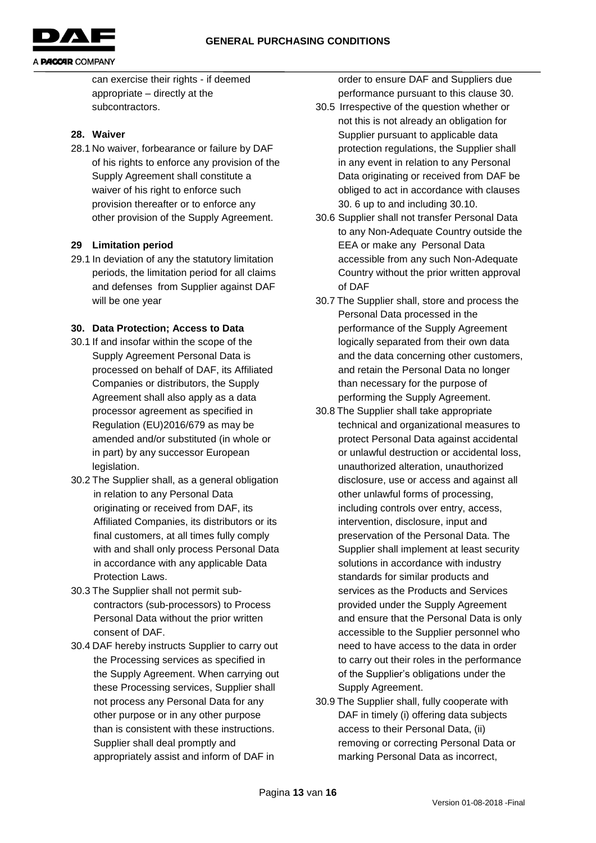

can exercise their rights - if deemed appropriate – directly at the subcontractors.

#### **28. Waiver**

28.1 No waiver, forbearance or failure by DAF of his rights to enforce any provision of the Supply Agreement shall constitute a waiver of his right to enforce such provision thereafter or to enforce any other provision of the Supply Agreement.

#### **29 Limitation period**

29.1 In deviation of any the statutory limitation periods, the limitation period for all claims and defenses from Supplier against DAF will be one year

#### **30. Data Protection; Access to Data**

- 30.1 If and insofar within the scope of the Supply Agreement Personal Data is processed on behalf of DAF, its Affiliated Companies or distributors, the Supply Agreement shall also apply as a data processor agreement as specified in Regulation (EU)2016/679 as may be amended and/or substituted (in whole or in part) by any successor European legislation.
- 30.2 The Supplier shall, as a general obligation in relation to any Personal Data originating or received from DAF, its Affiliated Companies, its distributors or its final customers, at all times fully comply with and shall only process Personal Data in accordance with any applicable Data Protection Laws.
- 30.3 The Supplier shall not permit subcontractors (sub-processors) to Process Personal Data without the prior written consent of DAF.
- 30.4 DAF hereby instructs Supplier to carry out the Processing services as specified in the Supply Agreement. When carrying out these Processing services, Supplier shall not process any Personal Data for any other purpose or in any other purpose than is consistent with these instructions. Supplier shall deal promptly and appropriately assist and inform of DAF in

order to ensure DAF and Suppliers due performance pursuant to this clause 30.

- 30.5 Irrespective of the question whether or not this is not already an obligation for Supplier pursuant to applicable data protection regulations, the Supplier shall in any event in relation to any Personal Data originating or received from DAF be obliged to act in accordance with clauses 30. 6 up to and including 30.10.
- 30.6 Supplier shall not transfer Personal Data to any Non-Adequate Country outside the EEA or make any Personal Data accessible from any such Non-Adequate Country without the prior written approval of DAF
- 30.7 The Supplier shall, store and process the Personal Data processed in the performance of the Supply Agreement logically separated from their own data and the data concerning other customers, and retain the Personal Data no longer than necessary for the purpose of performing the Supply Agreement.
- 30.8 The Supplier shall take appropriate technical and organizational measures to protect Personal Data against accidental or unlawful destruction or accidental loss, unauthorized alteration, unauthorized disclosure, use or access and against all other unlawful forms of processing, including controls over entry, access, intervention, disclosure, input and preservation of the Personal Data. The Supplier shall implement at least security solutions in accordance with industry standards for similar products and services as the Products and Services provided under the Supply Agreement and ensure that the Personal Data is only accessible to the Supplier personnel who need to have access to the data in order to carry out their roles in the performance of the Supplier's obligations under the Supply Agreement.
- 30.9 The Supplier shall, fully cooperate with DAF in timely (i) offering data subjects access to their Personal Data, (ii) removing or correcting Personal Data or marking Personal Data as incorrect,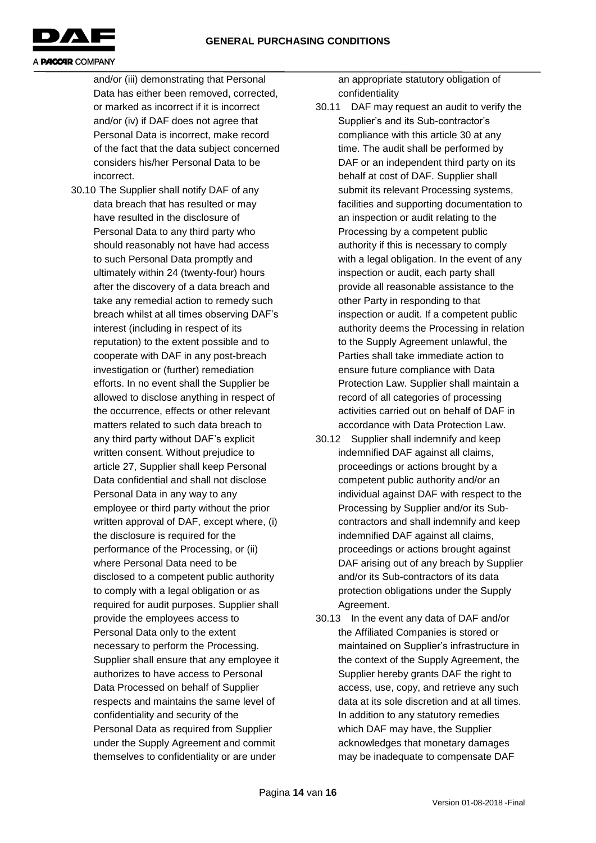

and/or (iii) demonstrating that Personal Data has either been removed, corrected, or marked as incorrect if it is incorrect and/or (iv) if DAF does not agree that Personal Data is incorrect, make record of the fact that the data subject concerned considers his/her Personal Data to be incorrect.

30.10 The Supplier shall notify DAF of any data breach that has resulted or may have resulted in the disclosure of Personal Data to any third party who should reasonably not have had access to such Personal Data promptly and ultimately within 24 (twenty-four) hours after the discovery of a data breach and take any remedial action to remedy such breach whilst at all times observing DAF's interest (including in respect of its reputation) to the extent possible and to cooperate with DAF in any post-breach investigation or (further) remediation efforts. In no event shall the Supplier be allowed to disclose anything in respect of the occurrence, effects or other relevant matters related to such data breach to any third party without DAF's explicit written consent. Without prejudice to article 27, Supplier shall keep Personal Data confidential and shall not disclose Personal Data in any way to any employee or third party without the prior written approval of DAF, except where, (i) the disclosure is required for the performance of the Processing, or (ii) where Personal Data need to be disclosed to a competent public authority to comply with a legal obligation or as required for audit purposes. Supplier shall provide the employees access to Personal Data only to the extent necessary to perform the Processing. Supplier shall ensure that any employee it authorizes to have access to Personal Data Processed on behalf of Supplier respects and maintains the same level of confidentiality and security of the Personal Data as required from Supplier under the Supply Agreement and commit themselves to confidentiality or are under

an appropriate statutory obligation of confidentiality

- 30.11 DAF may request an audit to verify the Supplier's and its Sub-contractor's compliance with this article 30 at any time. The audit shall be performed by DAF or an independent third party on its behalf at cost of DAF. Supplier shall submit its relevant Processing systems, facilities and supporting documentation to an inspection or audit relating to the Processing by a competent public authority if this is necessary to comply with a legal obligation. In the event of any inspection or audit, each party shall provide all reasonable assistance to the other Party in responding to that inspection or audit. If a competent public authority deems the Processing in relation to the Supply Agreement unlawful, the Parties shall take immediate action to ensure future compliance with Data Protection Law. Supplier shall maintain a record of all categories of processing activities carried out on behalf of DAF in accordance with Data Protection Law.
- 30.12 Supplier shall indemnify and keep indemnified DAF against all claims, proceedings or actions brought by a competent public authority and/or an individual against DAF with respect to the Processing by Supplier and/or its Subcontractors and shall indemnify and keep indemnified DAF against all claims, proceedings or actions brought against DAF arising out of any breach by Supplier and/or its Sub-contractors of its data protection obligations under the Supply Agreement.
- 30.13 In the event any data of DAF and/or the Affiliated Companies is stored or maintained on Supplier's infrastructure in the context of the Supply Agreement, the Supplier hereby grants DAF the right to access, use, copy, and retrieve any such data at its sole discretion and at all times. In addition to any statutory remedies which DAF may have, the Supplier acknowledges that monetary damages may be inadequate to compensate DAF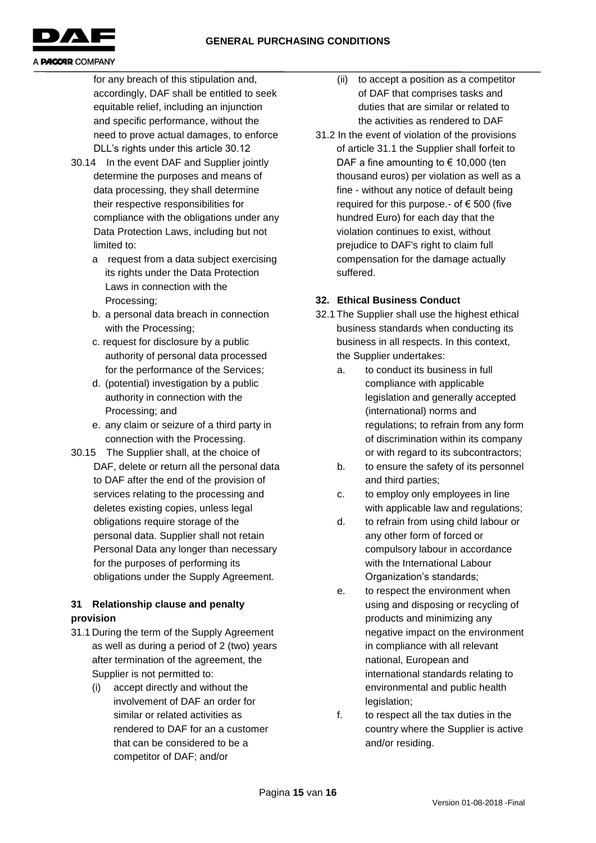

for any breach of this stipulation and, accordingly, DAF shall be entitled to seek equitable relief, including an injunction and specific performance, without the need to prove actual damages, to enforce DLL's rights under this article 30.12

- 30.14 In the event DAF and Supplier jointly determine the purposes and means of data processing, they shall determine their respective responsibilities for compliance with the obligations under any Data Protection Laws, including but not limited to:
	- a request from a data subject exercising its rights under the Data Protection Laws in connection with the Processing;
	- b. a personal data breach in connection with the Processing;
	- c. request for disclosure by a public authority of personal data processed for the performance of the Services;
	- d. (potential) investigation by a public authority in connection with the Processing; and
	- e. any claim or seizure of a third party in connection with the Processing.
- 30.15 The Supplier shall, at the choice of DAF, delete or return all the personal data to DAF after the end of the provision of services relating to the processing and deletes existing copies, unless legal obligations require storage of the personal data. Supplier shall not retain Personal Data any longer than necessary for the purposes of performing its obligations under the Supply Agreement.

### **31 Relationship clause and penalty provision**

- 31.1 During the term of the Supply Agreement as well as during a period of 2 (two) years after termination of the agreement, the Supplier is not permitted to:
	- (i) accept directly and without the involvement of DAF an order for similar or related activities as rendered to DAF for an a customer that can be considered to be a competitor of DAF; and/or
- (ii) to accept a position as a competitor of DAF that comprises tasks and duties that are similar or related to the activities as rendered to DAF
- 31.2 In the event of violation of the provisions of article 31.1 the Supplier shall forfeit to DAF a fine amounting to  $\epsilon$  10,000 (ten thousand euros) per violation as well as a fine - without any notice of default being required for this purpose.- of  $\epsilon$  500 (five hundred Euro) for each day that the violation continues to exist, without prejudice to DAF's right to claim full compensation for the damage actually suffered.

### **32. Ethical Business Conduct**

- 32.1 The Supplier shall use the highest ethical business standards when conducting its business in all respects. In this context, the Supplier undertakes:
	- a. to conduct its business in full compliance with applicable legislation and generally accepted (international) norms and regulations; to refrain from any form of discrimination within its company or with regard to its subcontractors;
	- b. to ensure the safety of its personnel and third parties;
	- c. to employ only employees in line with applicable law and regulations;
	- d. to refrain from using child labour or any other form of forced or compulsory labour in accordance with the International Labour Organization's standards;
	- e. to respect the environment when using and disposing or recycling of products and minimizing any negative impact on the environment in compliance with all relevant national, European and international standards relating to environmental and public health legislation;
	- f. to respect all the tax duties in the country where the Supplier is active and/or residing.